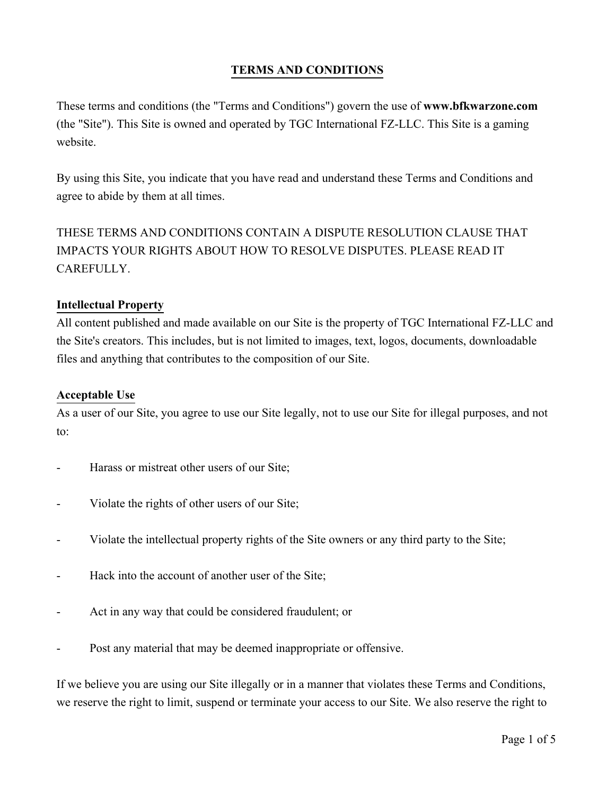# **TERMS AND CONDITIONS**

These terms and conditions (the "Terms and Conditions") govern the use of **www.bfkwarzone.com** (the "Site"). This Site is owned and operated by TGC International FZ-LLC. This Site is a gaming website.

By using this Site, you indicate that you have read and understand these Terms and Conditions and agree to abide by them at all times.

THESE TERMS AND CONDITIONS CONTAIN A DISPUTE RESOLUTION CLAUSE THAT IMPACTS YOUR RIGHTS ABOUT HOW TO RESOLVE DISPUTES. PLEASE READ IT CAREFULLY.

#### **Intellectual Property**

All content published and made available on our Site is the property of TGC International FZ-LLC and the Site's creators. This includes, but is not limited to images, text, logos, documents, downloadable files and anything that contributes to the composition of our Site.

#### **Acceptable Use**

As a user of our Site, you agree to use our Site legally, not to use our Site for illegal purposes, and not to:

- Harass or mistreat other users of our Site;
- Violate the rights of other users of our Site;
- Violate the intellectual property rights of the Site owners or any third party to the Site;
- Hack into the account of another user of the Site;
- Act in any way that could be considered fraudulent; or
- Post any material that may be deemed inappropriate or offensive.

If we believe you are using our Site illegally or in a manner that violates these Terms and Conditions, we reserve the right to limit, suspend or terminate your access to our Site. We also reserve the right to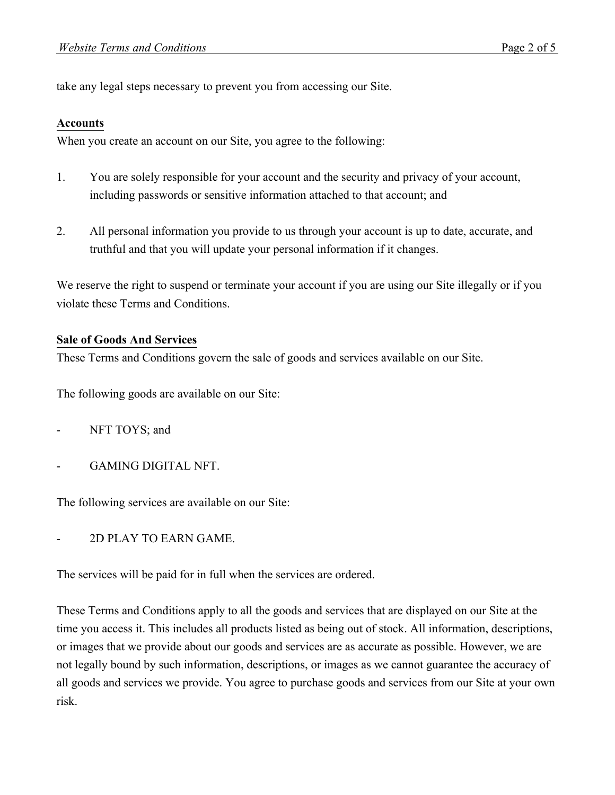take any legal steps necessary to prevent you from accessing our Site.

#### **Accounts**

When you create an account on our Site, you agree to the following:

- 1. You are solely responsible for your account and the security and privacy of your account, including passwords or sensitive information attached to that account; and
- 2. All personal information you provide to us through your account is up to date, accurate, and truthful and that you will update your personal information if it changes.

We reserve the right to suspend or terminate your account if you are using our Site illegally or if you violate these Terms and Conditions.

#### **Sale of Goods And Services**

These Terms and Conditions govern the sale of goods and services available on our Site.

The following goods are available on our Site:

- NFT TOYS; and
- GAMING DIGITAL NFT.

The following services are available on our Site:

- 2D PLAY TO EARN GAME.

The services will be paid for in full when the services are ordered.

These Terms and Conditions apply to all the goods and services that are displayed on our Site at the time you access it. This includes all products listed as being out of stock. All information, descriptions, or images that we provide about our goods and services are as accurate as possible. However, we are not legally bound by such information, descriptions, or images as we cannot guarantee the accuracy of all goods and services we provide. You agree to purchase goods and services from our Site at your own risk.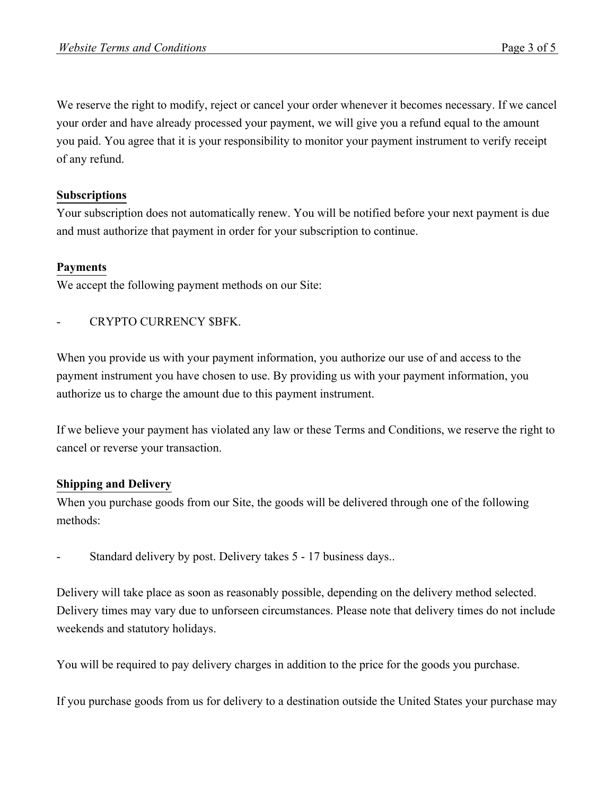We reserve the right to modify, reject or cancel your order whenever it becomes necessary. If we cancel your order and have already processed your payment, we will give you a refund equal to the amount you paid. You agree that it is your responsibility to monitor your payment instrument to verify receipt of any refund.

#### **Subscriptions**

Your subscription does not automatically renew. You will be notified before your next payment is due and must authorize that payment in order for your subscription to continue.

## **Payments**

We accept the following payment methods on our Site:

## CRYPTO CURRENCY \$BFK.

When you provide us with your payment information, you authorize our use of and access to the payment instrument you have chosen to use. By providing us with your payment information, you authorize us to charge the amount due to this payment instrument.

If we believe your payment has violated any law or these Terms and Conditions, we reserve the right to cancel or reverse your transaction.

## **Shipping and Delivery**

When you purchase goods from our Site, the goods will be delivered through one of the following methods:

Standard delivery by post. Delivery takes 5 - 17 business days..

Delivery will take place as soon as reasonably possible, depending on the delivery method selected. Delivery times may vary due to unforseen circumstances. Please note that delivery times do not include weekends and statutory holidays.

You will be required to pay delivery charges in addition to the price for the goods you purchase.

If you purchase goods from us for delivery to a destination outside the United States your purchase may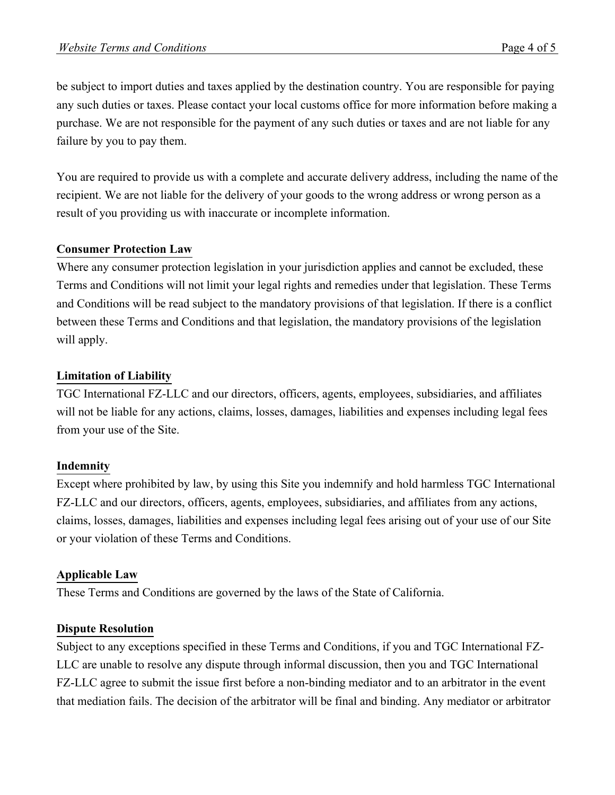be subject to import duties and taxes applied by the destination country. You are responsible for paying any such duties or taxes. Please contact your local customs office for more information before making a purchase. We are not responsible for the payment of any such duties or taxes and are not liable for any failure by you to pay them.

You are required to provide us with a complete and accurate delivery address, including the name of the recipient. We are not liable for the delivery of your goods to the wrong address or wrong person as a result of you providing us with inaccurate or incomplete information.

## **Consumer Protection Law**

Where any consumer protection legislation in your jurisdiction applies and cannot be excluded, these Terms and Conditions will not limit your legal rights and remedies under that legislation. These Terms and Conditions will be read subject to the mandatory provisions of that legislation. If there is a conflict between these Terms and Conditions and that legislation, the mandatory provisions of the legislation will apply.

## **Limitation of Liability**

TGC International FZ-LLC and our directors, officers, agents, employees, subsidiaries, and affiliates will not be liable for any actions, claims, losses, damages, liabilities and expenses including legal fees from your use of the Site.

## **Indemnity**

Except where prohibited by law, by using this Site you indemnify and hold harmless TGC International FZ-LLC and our directors, officers, agents, employees, subsidiaries, and affiliates from any actions, claims, losses, damages, liabilities and expenses including legal fees arising out of your use of our Site or your violation of these Terms and Conditions.

## **Applicable Law**

These Terms and Conditions are governed by the laws of the State of California.

## **Dispute Resolution**

Subject to any exceptions specified in these Terms and Conditions, if you and TGC International FZ-LLC are unable to resolve any dispute through informal discussion, then you and TGC International FZ-LLC agree to submit the issue first before a non-binding mediator and to an arbitrator in the event that mediation fails. The decision of the arbitrator will be final and binding. Any mediator or arbitrator